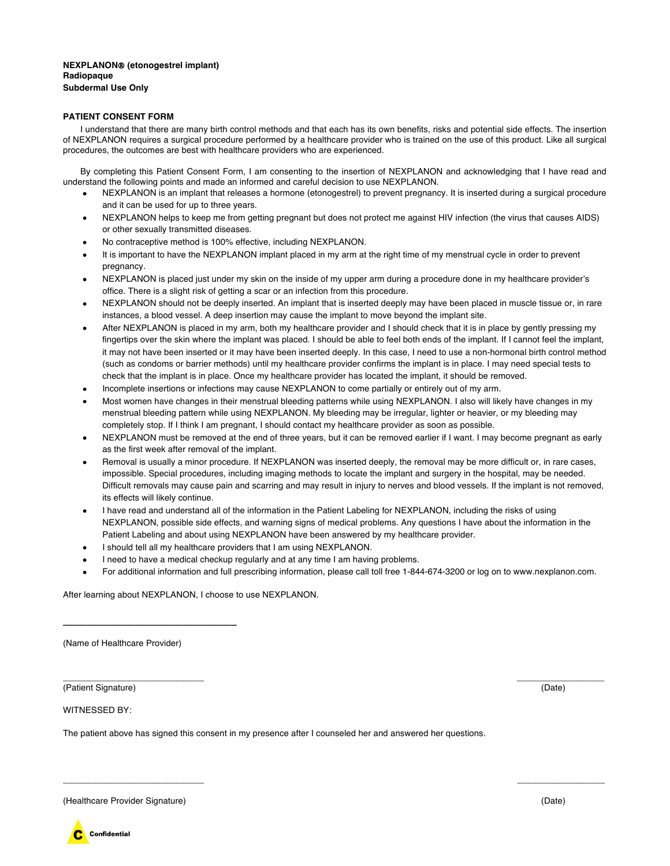## **NEXPLANON**Ò **(etonogestrel implant) Radiopaque Subdermal Use Only**

## **PATIENT CONSENT FORM**

I understand that there are many birth control methods and that each has its own benefits, risks and potential side effects. The insertion of NEXPLANON requires a surgical procedure performed by a healthcare provider who is trained on the use of this product. Like all surgical procedures, the outcomes are best with healthcare providers who are experienced.

By completing this Patient Consent Form, I am consenting to the insertion of NEXPLANON and acknowledging that I have read and understand the following points and made an informed and careful decision to use NEXPLANON.

- NEXPLANON is an implant that releases a hormone (etonogestrel) to prevent pregnancy. It is inserted during a surgical procedure and it can be used for up to three years.
- NEXPLANON helps to keep me from getting pregnant but does not protect me against HIV infection (the virus that causes AIDS) or other sexually transmitted diseases.
- No contraceptive method is 100% effective, including NEXPLANON.
- It is important to have the NEXPLANON implant placed in my arm at the right time of my menstrual cycle in order to prevent pregnancy.
- NEXPLANON is placed just under my skin on the inside of my upper arm during a procedure done in my healthcare provider's office. There is a slight risk of getting a scar or an infection from this procedure.
- NEXPLANON should not be deeply inserted. An implant that is inserted deeply may have been placed in muscle tissue or, in rare instances, a blood vessel. A deep insertion may cause the implant to move beyond the implant site.
- After NEXPLANON is placed in my arm, both my healthcare provider and I should check that it is in place by gently pressing my fingertips over the skin where the implant was placed. I should be able to feel both ends of the implant. If I cannot feel the implant, it may not have been inserted or it may have been inserted deeply. In this case, I need to use a non-hormonal birth control method (such as condoms or barrier methods) until my healthcare provider confirms the implant is in place. I may need special tests to check that the implant is in place. Once my healthcare provider has located the implant, it should be removed.
- Incomplete insertions or infections may cause NEXPLANON to come partially or entirely out of my arm.
- Most women have changes in their menstrual bleeding patterns while using NEXPLANON. I also will likely have changes in my menstrual bleeding pattern while using NEXPLANON. My bleeding may be irregular, lighter or heavier, or my bleeding may completely stop. If I think I am pregnant, I should contact my healthcare provider as soon as possible.
- NEXPLANON must be removed at the end of three years, but it can be removed earlier if I want. I may become pregnant as early as the first week after removal of the implant.
- Removal is usually a minor procedure. If NEXPLANON was inserted deeply, the removal may be more difficult or, in rare cases, impossible. Special procedures, including imaging methods to locate the implant and surgery in the hospital, may be needed. Difficult removals may cause pain and scarring and may result in injury to nerves and blood vessels. If the implant is not removed, its effects will likely continue.
- I have read and understand all of the information in the Patient Labeling for NEXPLANON, including the risks of using NEXPLANON, possible side effects, and warning signs of medical problems. Any questions I have about the information in the Patient Labeling and about using NEXPLANON have been answered by my healthcare provider.
- I should tell all my healthcare providers that I am using NEXPLANON.
- I need to have a medical checkup regularly and at any time I am having problems.
- For additional information and full prescribing information, please call toll free 1-844-674-3200 or log on to www.nexplanon.com.

\_\_\_\_\_\_\_\_\_\_\_\_\_\_\_\_\_\_\_\_\_\_\_\_\_\_\_\_\_ \_\_\_\_\_\_\_\_\_\_\_\_\_\_\_\_\_\_

After learning about NEXPLANON, I choose to use NEXPLANON.

(Name of Healthcare Provider)

\_\_\_\_\_\_\_\_\_\_\_\_\_\_\_\_\_\_\_\_\_\_\_\_\_\_\_\_\_

\_\_\_\_\_\_\_\_\_\_\_\_\_\_\_\_\_\_\_\_\_\_\_\_\_\_\_\_\_ \_\_\_\_\_\_\_\_\_\_\_\_\_\_\_\_\_\_ (Patient Signature) (Date)

WITNESSED BY:

The patient above has signed this consent in my presence after I counseled her and answered her questions.